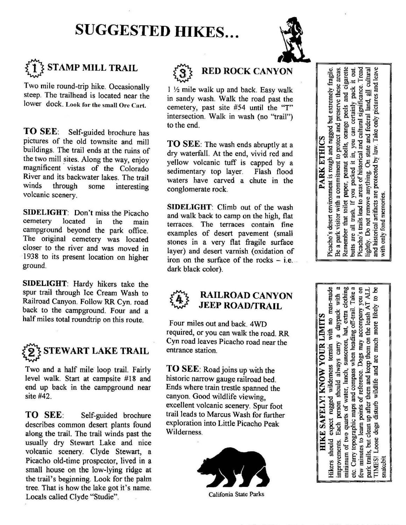## **SUGGESTED HIKES...**



## **STAMP MILL TRAIL**

Two mile round-trip hike. Occasionally steep. The trailhead is located near the lower dock. Look for the small Ore Cart.

**TO SEE:** Self-guided brochure has pictures of the old townsite and mill buildings. The trail ends at the ruins of the two mill sites. Along the way, enjoy magnificent vistas of the Colorado River and its backwater lakes. The trail winds through some interesting volcanic scenery.

**SIDELIGHT:** Don't miss the Picacho cemetery located in the main campground beyond the park office. The original cemetery was located closer to the river and was moved in ·1938 to its present location on higher ground.

**SIDELIGHT:** Hardy hikers take the spur trail through Ice Cream Wash to Railroad Canyon. Follow RR Cyn. road back to the campground. Four and a half miles total roundtrip on this route.



Two and a half mile loop trail. Fairly level walk. Start at campsite #18 and end up back in the campground near site #42.

**TO SEE:** Self-guided brochure describes common desert plants found along the trail. The trail winds past the usually dry Stewart Lake and nice volcanic scenery. Clyde Stewart, a Picacho old-time prospector, lived in a small house on the low-lying ridge at the trail's beginning. Look for the palm tree. That is how the lake got it's name. Locals called Clyde "Studie".



## ® **RED ROCK CANYON**

1 *Y2* mile walk up and back. Easy walk in sandy wash. Walk the road past the cemetery, past site #54 until the "T" intersection. Walk in wash (no "trail") to the end.

**TO SEE:**The wash ends abruptly at a dry waterfall. At the end, vivid red and yellow volcanic tuff is capped by a sedimentary top layer. Flash flood waters have carved a chute in the conglomerate rock.

**SIDELIGHT:** Climb out of the wash and walk back to camp on the high, flat terraces. The terraces contain fine examples of desert pavement (small stones in a very flat fragile surface layer) and desert varnish (oxidation of iron on the surface of the rocks  $-$  i.e... dark black color).

## **RAILROAD CANYON JEEP ROAD/TRAIL**

Four miles out and back. 4WD required, or you can walk the road. RR Cyn road leaves Picacho road near the entrance station.

**TO SEE:** Road joins up with the historic narrow gauge railroad bed. Ends where train trestle spanned the canyon. Good wildlife viewing, excellent volcanic scenery. Spur foot trail leads to Marcus Wash for further exploration into Little Picacho Peak Wilderness.



Califonia State Parks

peels and cigarette historical artifacts are protected by law. Take only pictures and leave<br>only fond memories. Picacho's desert environment is rough and rugged but extremely fragile. Be a park visitor with a commitment to protect and preserve these areas. Picacho's trails lead to areas of historical and cultural significance. Tread **out** cultural can certainly pack it  $\equiv$ land state and federal orange **PARK ETHICS** shells,  $\mathbf{a}$  $\delta$ you packed it peanut remove anything. paper, Remember that toilet points are all trash. If y Do not ightly. md<sup>-</sup>

minimum of two quarts of water, lunch, sunscreen, hat, extra clothing<br>etc. Carry topographic maps and compass when heading off-trail. Take a ತಿ Hikers should expect rugged wilderness terrain with no man-made no no x Auredurocou Arun them on the leash AT ALL  $\overline{a}$ more likely a daypack **HIKE SAFELY! KNOW YOUR LIMITS** wildlife and are much person should always carry Dogs 1 and keep few minutes to learn points of reference. them park trails, but clean up after disturb Each dogs Loose improvements. **TIMES!** snakebit